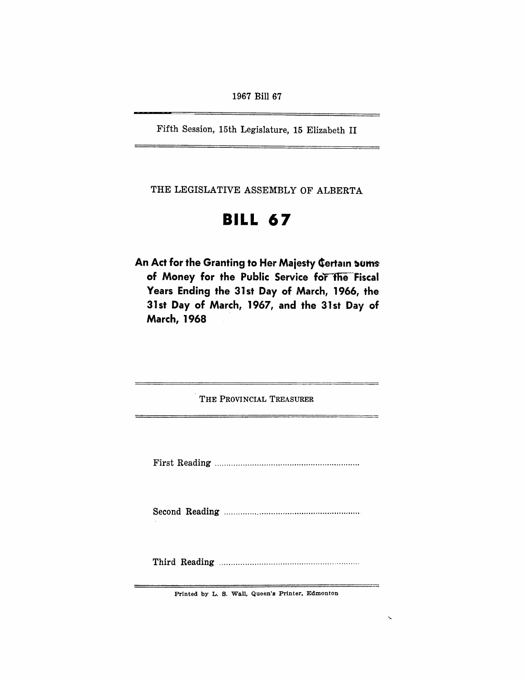Fifth Session, 15th Legislature, 15 Elizabeth II

THE LEGISLATIVE ASSEMBLY OF ALBERTA

# **BILL 67**

An Act for the Granting to Her Majesty Certain sums of Money for the Public Service for the Fiscal Years Ending the 31st Day of March, 1966, the 31st Day of March, 1967, and the 31st Day of March, 1968

| THE PROVINCIAL TREASURER |
|--------------------------|
|                          |
|                          |
|                          |
|                          |

Printed by L. S. Wall, Queen's Printer, Edmonton

 $\overline{\phantom{0}}$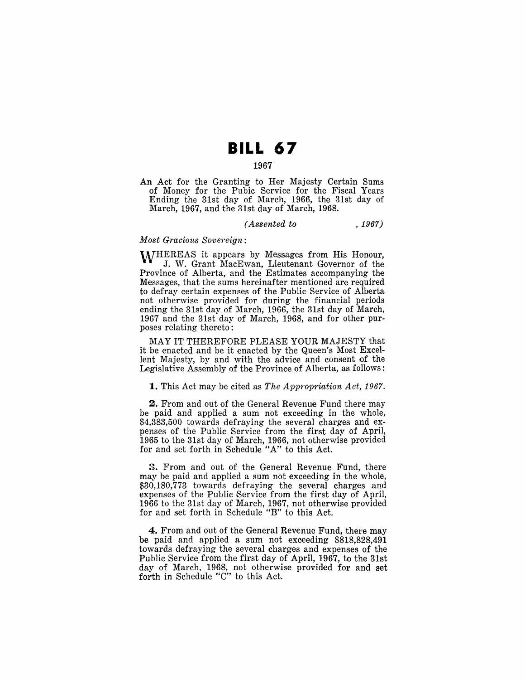## **BILL 67**

## 1967

An Act for the Granting to Her Majesty Certain Sums of Money for the Pubic Service for the Fiscal Years Ending the 31st day of March, 1966, the 31st day of March, 1967, and the 31st day of March, 1968.

#### *(Assented to* , 1967)

#### *Most Gracious Sovereign:*

WHEREAS it appears by Messages from His Honour, J. W. Grant MacEwan, Lieutenant Governor of the Province of Alberta, and the Estimates accompanying the Messages, that the sums hereinafter mentioned are required to defray certain expenses of the Public Service of Alberta not otherwise provided for during the financial periods ending the 31st day of March, 1966, the 31st day of March, 1967 and the 31st day of March, 1968, and for other purposes relating thereto:

MAY IT THEREFORE PLEASE YOUR MAJESTY that it be enacted and be it enacted by the Queen's Most Excellent Majesty, by and with the advice and consent of the Legislative Assembly of the Province of Alberta, as follows:

1. This Act may be cited as *The Appropriation Act, 1967.* 

2. From and out of the General Revenue Fund there may be paid and applied a sum not exceeding in the whole, \$4,383,500 towards defraying the several charges and expenses of the Public Service from the first day of April, 1965 to the 31st day of March, 1966, not otherwise provided for and set forth in Schedule *"A"* to this Act.

3. From and out of the General Revenue Fund, there may be paid and applied a sum not exceeding in the whole, \$30,180,773 towards defraying the several charges and expenses of the Public Service from the first day of April, 1966 to the 31st day of March, 1967, not otherwise provided for and set forth in Schedule "B" to this Act.

4. From and out of the General Revenue Fund, there may be paid and applied a sum not exceeding \$818,828,491 towards defraying the several charges and expenses of the Public Service from the first day of April, 1967, to the 31st day of March, 1968, not otherwise provided for and set forth in Schedule "C" to this Act.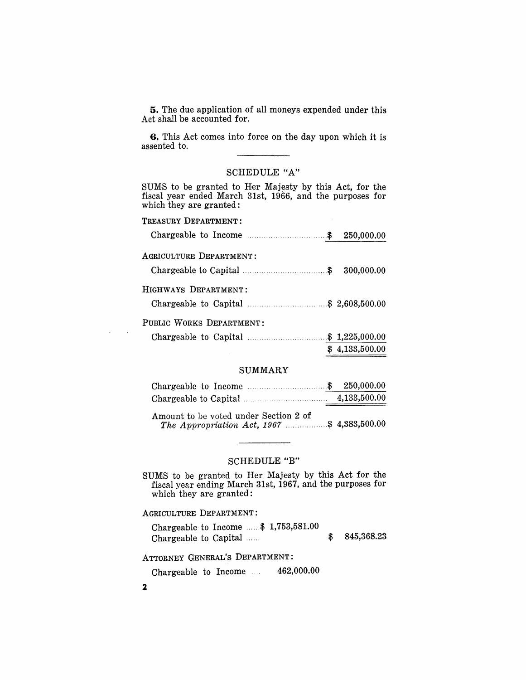5. The due application of all moneys expended under this Act shall be accounted for.

G. This Act comes into force on the day upon which it is assented to.

## SCHEDULE *"A"*

SUMS to be granted to Her Majesty by this Act, for the fiscal year ended March 31st, 1966, and the purposes for which they are granted:

| TREASURY DEPARTMENT:     |                |
|--------------------------|----------------|
|                          |                |
| AGRICULTURE DEPARTMENT:  |                |
|                          |                |
| HIGHWAYS DEPARTMENT:     |                |
|                          |                |
| PUBLIC WORKS DEPARTMENT: |                |
|                          |                |
|                          | \$4,133,500.00 |

#### SUMMARY

|  |  | 250,000.00   |
|--|--|--------------|
|  |  | 4,133,500.00 |

Amount to be voted under Section 2 of *The Appropriation Act,* 1967 .................. \$ 4,383,500.00

## SCHEDULE "B"

SUMS to be granted to Her Majesty by this Act for the fiscal year ending March 31st, 1967, and the purposes for which they are granted:

#### AGRICULTURE DEPARTMENT:

|                       |  | Chargeable to Income $\dots$ \$ 1,753,581.00 |            |
|-----------------------|--|----------------------------------------------|------------|
| Chargeable to Capital |  |                                              | 845,368.23 |

ATTORNEY GENERAL'S DEPARTMENT:

Chargeable to Income  $\ldots$  462,000.00

2

 $\sim$  $\sim 10$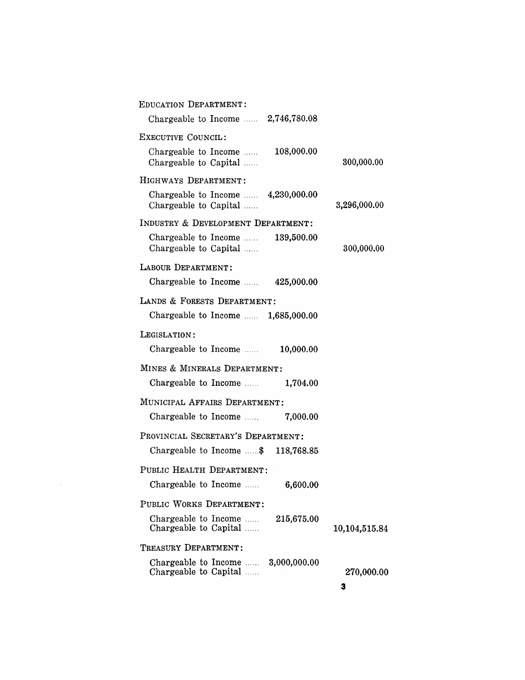| <b>EDUCATION DEPARTMENT:</b>                                        |               |
|---------------------------------------------------------------------|---------------|
| Chargeable to Income $\ldots$ 2,746,780.08                          |               |
| EXECUTIVE COUNCIL:                                                  |               |
| 108,000.00<br>Chargeable to Income<br>Chargeable to Capital         | 300,000.00    |
| HIGHWAYS DEPARTMENT:                                                |               |
| Chargeable to Income $\ldots$ 4,230,000.00<br>Chargeable to Capital | 3,296,000.00  |
| INDUSTRY & DEVELOPMENT DEPARTMENT:                                  |               |
| Chargeable to Income  139,500.00<br>Chargeable to Capital           | 300,000.00    |
| LABOUR DEPARTMENT:                                                  |               |
| Chargeable to Income $\ldots$ 425,000.00                            |               |
| LANDS & FORESTS DEPARTMENT:                                         |               |
| Chargeable to Income $\ldots$ 1,685,000.00                          |               |
| LEGISLATION:                                                        |               |
| Chargeable to Income<br>10,000.00                                   |               |
| MINES & MINERALS DEPARTMENT:                                        |               |
| Chargeable to Income $\ldots$ 1,704.00                              |               |
| MUNICIPAL AFFAIRS DEPARTMENT:                                       |               |
| Chargeable to Income<br>7,000.00                                    |               |
| PROVINCIAL SECRETARY'S DEPARTMENT:                                  |               |
| Chargeable to Income  \$ 118,768.85                                 |               |
| PUBLIC HEALTH DEPARTMENT:                                           |               |
| Chargeable to Income  6,600.00                                      |               |
| PUBLIC WORKS DEPARTMENT:                                            |               |
| Chargeable to Income<br>215,675.00<br>Chargeable to Capital         | 10,104,515.84 |
| TREASURY DEPARTMENT:                                                |               |
| Chargeable to Income<br>3,000,000.00<br>Chargeable to Capital       | 270,000.00    |
|                                                                     | з             |

 $\label{eq:2.1} \mathcal{L}(\mathcal{L}^{\text{max}}_{\mathcal{L}}(\mathcal{L}^{\text{max}}_{\mathcal{L}})) \leq \mathcal{L}(\mathcal{L}^{\text{max}}_{\mathcal{L}}(\mathcal{L}^{\text{max}}_{\mathcal{L}}))$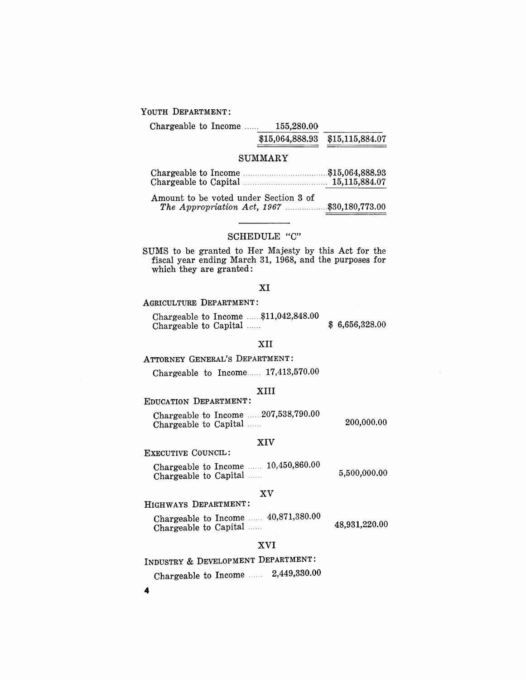#### YOUTH DEPARTMENT:

| OUTH DEPARTMENT:     |                                 |  |
|----------------------|---------------------------------|--|
| Chargeable to Income | 155,280,00                      |  |
|                      | \$15,064,888.93 \$15,115,884.07 |  |

#### SUMMARY

|  | 15,115,884.07 |
|--|---------------|

Amount to be voted under Section 3 of *The Appropriation Act,* 1967 .................. \$30,180,773.00

## SCHEDULE "C"

SUMS to be granted to Her Majesty by this Act for the fiscal year ending March 31, 1968, and the purposes for which they are granted:

#### XI

## AGRICULTURE DEPARTMENT:

Chargeable to Income ...... \$11,042,848.00 Chargeable to Capital ...... \$ 6,656,328.00

#### XII

## ATTORNEY GENERAL'S DEPARTMENT:

Chargeable to Income...... 17,413,570.00

#### XIII

## EDUCATION DEPARTMENT:

|                       |  | Chargeable to Income $\ldots$ 207,538,790.00 |            |
|-----------------------|--|----------------------------------------------|------------|
| Chargeable to Capital |  |                                              | 200,000.00 |

#### XIV

## EXECUTIVE COUNCIL:

|                       |  | Chargeable to Income $\ldots$ 10,450,860.00 |              |
|-----------------------|--|---------------------------------------------|--------------|
| Chargeable to Capital |  |                                             | 5,500,000.00 |

#### XV

## HIGHWAYS DEPARTMENT:

Chargeable to Income ...... 40,871,380.00 Chargeable to Theonic ...... 19,931,220.00<br>48,931,220.00

## XVI

INDUSTRY & DEVELOPMENT DEPARTMENT:

Chargeable to Income ...... 2,449,330.00

4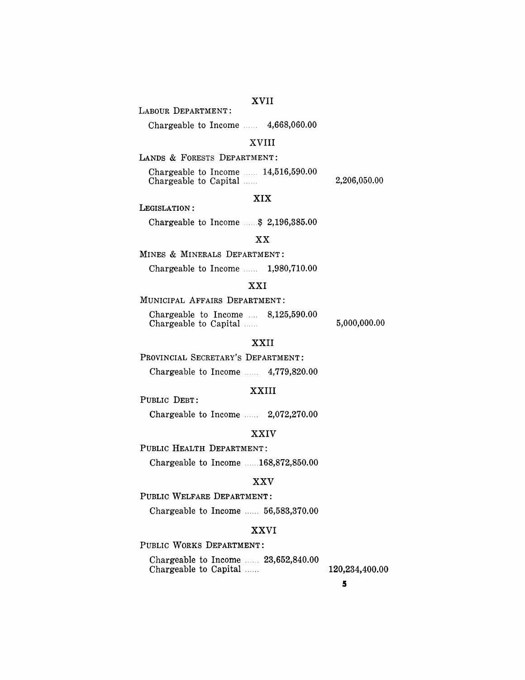## XVII

LABOUR DEPARTMENT:

Chargeable to Income ...... 4,668,060.00

## XVIII

LANDS & FORESTS DEPARTMENT:

Chargeable to Income  $\ldots$  14,516,590.00 Chargeable to Capital .....

2,206,050.00

LEGISLATION:

Chargeable to Income ..... \$ 2,196,385.00

#### XX

XIX

MINES & MINERALS DEPARTMENT:

Chargeable to Income  $\ldots$  1,980,710.00

## XXI

## MUNICIPAL AFFAIRS DEPARTMENT:

Chargeable to Income .... 8,125,590.00 Chargeable to Capital ......

5,000,000.00

## XXII

PROVINCIAL SECRETARY'S DEPARTMENT:

Chargeable to Income  $\ldots$  4,779,820.00

## XXIII

PUBLIC DEBT: Chargeable to Income ...... 2,072,270.00

#### XXIV

PUBLIC HEALTH DEPARTMENT:

Chargeable to Income ...... 168,872,850.00

## XXV

PUBLIC WELFARE DEPARTMENT:

Chargeable to Income ..... 56,583,370.00

## XXVI

PUBLIC WORKS DEPARTMENT:

Chargeable to Income ...... 23,652,840.00 Chargeable to Capital ...... 120,234,400.00

5